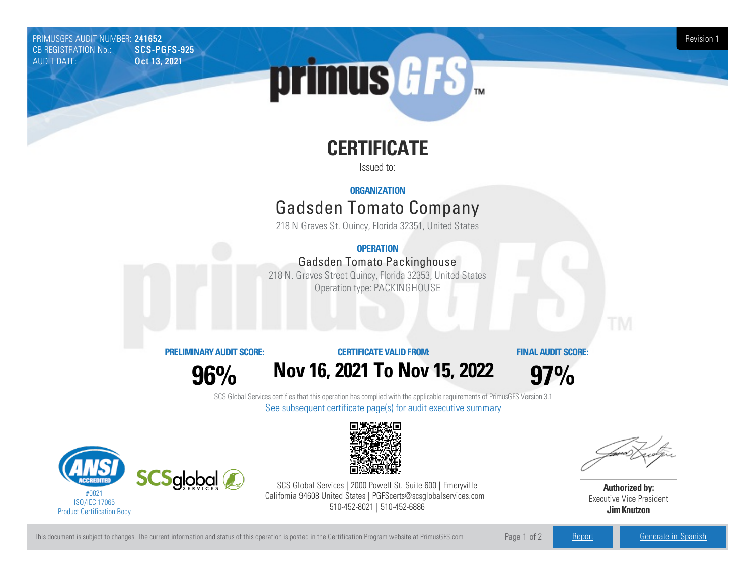PRIMUSGFS AUDIT NUMBER: 241652 Revision 1<br>CB REGISTRATION No.: SCS-PGFS-925 Revision 1 CB REGISTRATION No.: AUDIT DATE: **Oct 13, 2021** 



# **CERTIFICATE**

Issued to:

#### **ORGANIZATION**

## Gadsden Tomato Company

218 N Graves St. Quincy, Florida 32351, United States

#### **OPERATION**

#### Gadsden Tomato Packinghouse

218 N. Graves Street Quincy, Florida 32353, United States Operation type: PACKINGHOUSE

#### **PRELIMINARYAUDIT SCORE:**

**96%**

### **CERTIFICATE VALIDFROM: Nov16, 2021 To Nov15, 2022**

**FINAL AUDIT SCORE:**

**97%**

SCS Global Services certifies that this operation has complied with the applicable requirements of PrimusGFS Version 3.1 See subsequent certificate page(s) for audit executive summary





SCS Global Services | 2000 Powell St. Suite 600 | Emeryville California 94608 United States | PGFScerts@scsglobalservices.com | 510-452-8021 | 510-452-6886



**Authorized by:** Executive Vice President **JimKnutzon**

This document is subject to changes. The current information and status of this operation is posted in the Certification Program website at PrimusGFS.com Page 1 of 2 [Report](https://secure.azzule.com/PGFSDocuments/PGFS_AuditReport241652_3678_1_EN.pdf) [Generate](https://secure.azzule.com/PrimusGFSAudits/pdfGenerator.aspx?AuditHeaderID=61341497570098664361456342757816253473982&AppId=25153084896&LanguageID=1&UserId=1) in Spanish